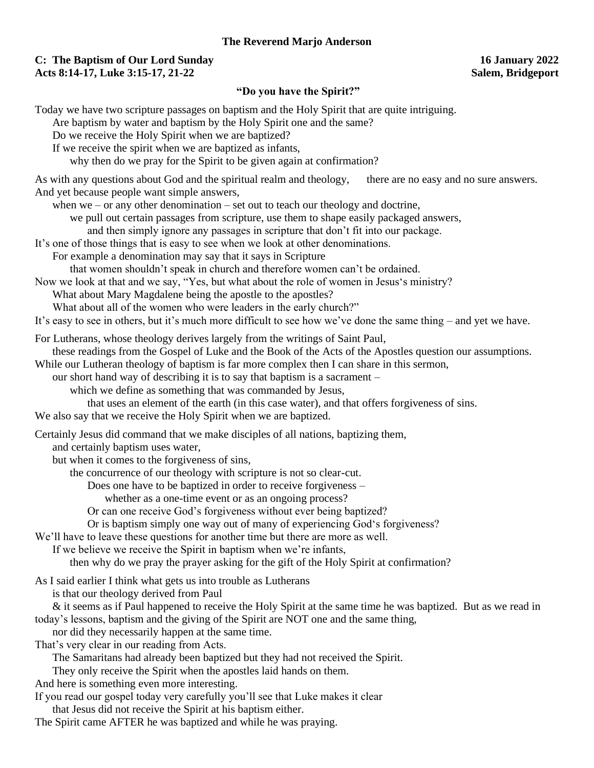#### **The Reverend Marjo Anderson**

### **C: The Baptism of Our Lord Sunday 16 January 2022 Acts 8:14-17, Luke 3:15-17, 21-22 Salem, Bridgeport**

#### **"Do you have the Spirit?"**

Today we have two scripture passages on baptism and the Holy Spirit that are quite intriguing. Are baptism by water and baptism by the Holy Spirit one and the same? Do we receive the Holy Spirit when we are baptized? If we receive the spirit when we are baptized as infants, why then do we pray for the Spirit to be given again at confirmation? As with any questions about God and the spiritual realm and theology, there are no easy and no sure answers. And yet because people want simple answers, when we – or any other denomination – set out to teach our theology and doctrine, we pull out certain passages from scripture, use them to shape easily packaged answers, and then simply ignore any passages in scripture that don't fit into our package. It's one of those things that is easy to see when we look at other denominations. For example a denomination may say that it says in Scripture that women shouldn't speak in church and therefore women can't be ordained. Now we look at that and we say, "Yes, but what about the role of women in Jesus's ministry? What about Mary Magdalene being the apostle to the apostles? What about all of the women who were leaders in the early church?" It's easy to see in others, but it's much more difficult to see how we've done the same thing – and yet we have. For Lutherans, whose theology derives largely from the writings of Saint Paul, these readings from the Gospel of Luke and the Book of the Acts of the Apostles question our assumptions. While our Lutheran theology of baptism is far more complex then I can share in this sermon, our short hand way of describing it is to say that baptism is a sacrament – which we define as something that was commanded by Jesus, that uses an element of the earth (in this case water), and that offers forgiveness of sins. We also say that we receive the Holy Spirit when we are baptized. Certainly Jesus did command that we make disciples of all nations, baptizing them, and certainly baptism uses water, but when it comes to the forgiveness of sins, the concurrence of our theology with scripture is not so clear-cut. Does one have to be baptized in order to receive forgiveness – whether as a one-time event or as an ongoing process? Or can one receive God's forgiveness without ever being baptized? Or is baptism simply one way out of many of experiencing God's forgiveness? We'll have to leave these questions for another time but there are more as well. If we believe we receive the Spirit in baptism when we're infants, then why do we pray the prayer asking for the gift of the Holy Spirit at confirmation? As I said earlier I think what gets us into trouble as Lutherans is that our theology derived from Paul & it seems as if Paul happened to receive the Holy Spirit at the same time he was baptized. But as we read in today's lessons, baptism and the giving of the Spirit are NOT one and the same thing, nor did they necessarily happen at the same time. That's very clear in our reading from Acts. The Samaritans had already been baptized but they had not received the Spirit. They only receive the Spirit when the apostles laid hands on them. And here is something even more interesting. If you read our gospel today very carefully you'll see that Luke makes it clear that Jesus did not receive the Spirit at his baptism either. The Spirit came AFTER he was baptized and while he was praying.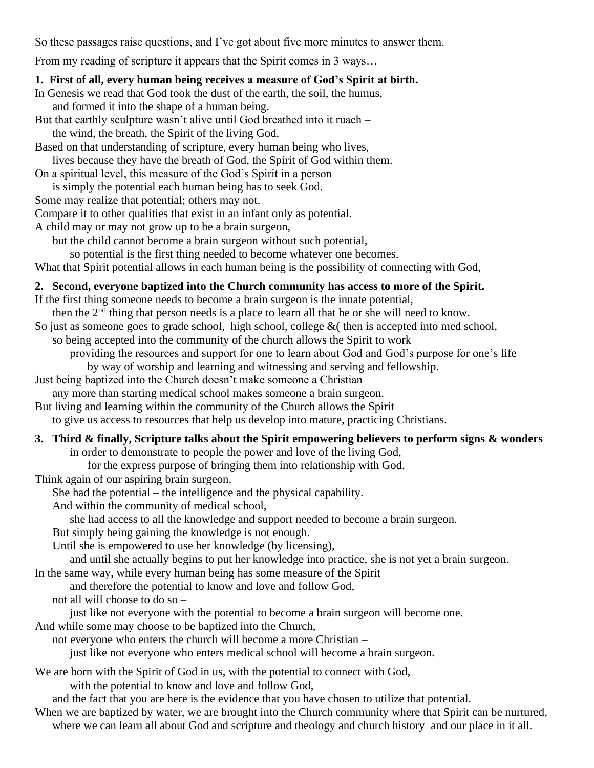So these passages raise questions, and I've got about five more minutes to answer them.

From my reading of scripture it appears that the Spirit comes in 3 ways…

## **1. First of all, every human being receives a measure of God's Spirit at birth.**

In Genesis we read that God took the dust of the earth, the soil, the humus, and formed it into the shape of a human being.

But that earthly sculpture wasn't alive until God breathed into it ruach –

the wind, the breath, the Spirit of the living God.

Based on that understanding of scripture, every human being who lives, lives because they have the breath of God, the Spirit of God within them.

On a spiritual level, this measure of the God's Spirit in a person is simply the potential each human being has to seek God.

Some may realize that potential; others may not.

Compare it to other qualities that exist in an infant only as potential.

A child may or may not grow up to be a brain surgeon,

but the child cannot become a brain surgeon without such potential,

so potential is the first thing needed to become whatever one becomes.

What that Spirit potential allows in each human being is the possibility of connecting with God,

# **2. Second, everyone baptized into the Church community has access to more of the Spirit.**

If the first thing someone needs to become a brain surgeon is the innate potential,

then the  $2<sup>nd</sup>$  thing that person needs is a place to learn all that he or she will need to know.

So just as someone goes to grade school, high school, college  $\&$  (then is accepted into med school,

so being accepted into the community of the church allows the Spirit to work

providing the resources and support for one to learn about God and God's purpose for one's life by way of worship and learning and witnessing and serving and fellowship.

Just being baptized into the Church doesn't make someone a Christian

any more than starting medical school makes someone a brain surgeon.

But living and learning within the community of the Church allows the Spirit

to give us access to resources that help us develop into mature, practicing Christians.

#### **3. Third & finally, Scripture talks about the Spirit empowering believers to perform signs & wonders**  in order to demonstrate to people the power and love of the living God,

for the express purpose of bringing them into relationship with God.

Think again of our aspiring brain surgeon.

She had the potential – the intelligence and the physical capability.

And within the community of medical school,

she had access to all the knowledge and support needed to become a brain surgeon.

But simply being gaining the knowledge is not enough.

Until she is empowered to use her knowledge (by licensing),

and until she actually begins to put her knowledge into practice, she is not yet a brain surgeon.

In the same way, while every human being has some measure of the Spirit

and therefore the potential to know and love and follow God,

not all will choose to do so –

just like not everyone with the potential to become a brain surgeon will become one.

And while some may choose to be baptized into the Church,

not everyone who enters the church will become a more Christian –

just like not everyone who enters medical school will become a brain surgeon.

We are born with the Spirit of God in us, with the potential to connect with God,

with the potential to know and love and follow God,

and the fact that you are here is the evidence that you have chosen to utilize that potential.

When we are baptized by water, we are brought into the Church community where that Spirit can be nurtured, where we can learn all about God and scripture and theology and church history and our place in it all.